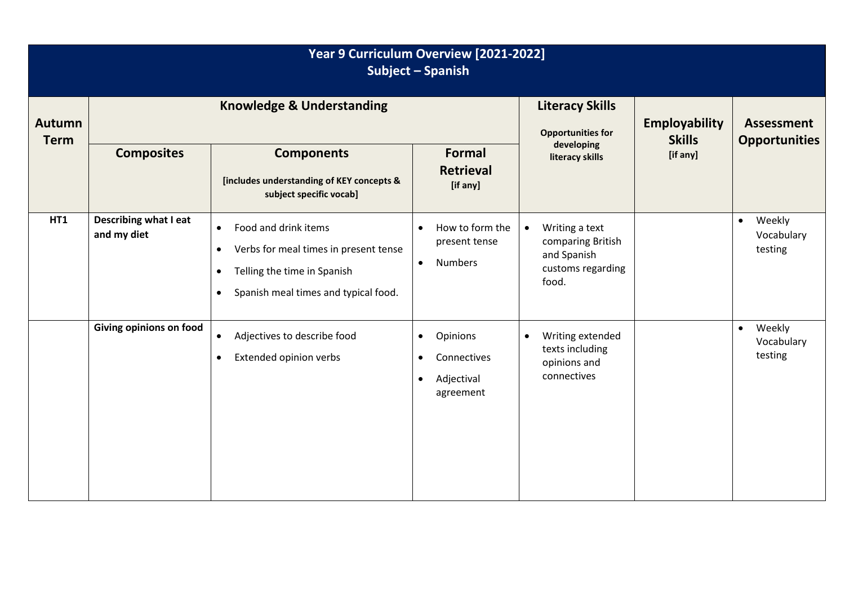| Year 9 Curriculum Overview [2021-2022]<br>Subject - Spanish |                                      |                                                                                                                                                                                          |                                                                                           |                                                                                               |                                       |                                              |  |  |  |
|-------------------------------------------------------------|--------------------------------------|------------------------------------------------------------------------------------------------------------------------------------------------------------------------------------------|-------------------------------------------------------------------------------------------|-----------------------------------------------------------------------------------------------|---------------------------------------|----------------------------------------------|--|--|--|
| <b>Autumn</b><br><b>Term</b>                                | <b>Knowledge &amp; Understanding</b> |                                                                                                                                                                                          |                                                                                           | <b>Literacy Skills</b><br><b>Opportunities for</b>                                            | <b>Employability</b><br><b>Skills</b> | <b>Assessment</b><br><b>Opportunities</b>    |  |  |  |
|                                                             | <b>Composites</b>                    | <b>Components</b><br>[includes understanding of KEY concepts &<br>subject specific vocab]                                                                                                | <b>Formal</b><br><b>Retrieval</b><br>[if any]                                             | developing<br>literacy skills                                                                 | [if any]                              |                                              |  |  |  |
| <b>HT1</b>                                                  | Describing what I eat<br>and my diet | Food and drink items<br>$\bullet$<br>Verbs for meal times in present tense<br>$\bullet$<br>Telling the time in Spanish<br>$\bullet$<br>Spanish meal times and typical food.<br>$\bullet$ | How to form the<br>$\bullet$<br>present tense<br><b>Numbers</b><br>$\bullet$              | Writing a text<br>$\bullet$<br>comparing British<br>and Spanish<br>customs regarding<br>food. |                                       | Weekly<br>$\bullet$<br>Vocabulary<br>testing |  |  |  |
|                                                             | Giving opinions on food              | Adjectives to describe food<br>$\bullet$<br>Extended opinion verbs<br>$\bullet$                                                                                                          | Opinions<br>$\bullet$<br>Connectives<br>$\bullet$<br>Adjectival<br>$\bullet$<br>agreement | Writing extended<br>$\bullet$<br>texts including<br>opinions and<br>connectives               |                                       | Weekly<br>$\bullet$<br>Vocabulary<br>testing |  |  |  |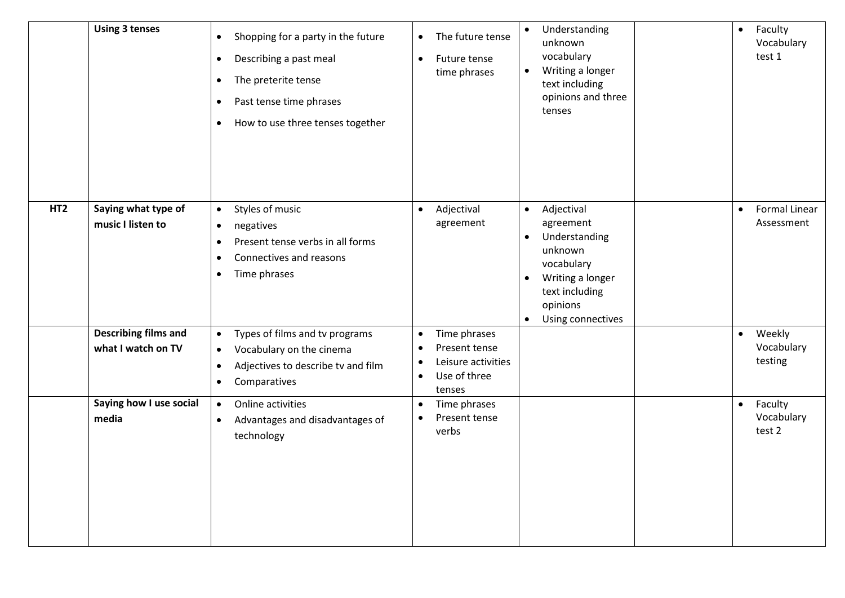|                 | <b>Using 3 tenses</b>                             | Shopping for a party in the future<br>$\bullet$<br>Describing a past meal<br>$\bullet$<br>The preterite tense<br>$\bullet$<br>Past tense time phrases<br>$\bullet$<br>How to use three tenses together<br>$\bullet$ | The future tense<br>$\bullet$<br>Future tense<br>$\bullet$<br>time phrases                                                        | Understanding<br>$\bullet$<br>unknown<br>vocabulary<br>Writing a longer<br>$\bullet$<br>text including<br>opinions and three<br>tenses                                                       | Faculty<br>$\bullet$<br>Vocabulary<br>test 1    |
|-----------------|---------------------------------------------------|---------------------------------------------------------------------------------------------------------------------------------------------------------------------------------------------------------------------|-----------------------------------------------------------------------------------------------------------------------------------|----------------------------------------------------------------------------------------------------------------------------------------------------------------------------------------------|-------------------------------------------------|
| HT <sub>2</sub> | Saying what type of<br>music I listen to          | Styles of music<br>$\bullet$<br>negatives<br>$\bullet$<br>Present tense verbs in all forms<br>$\bullet$<br>Connectives and reasons<br>$\bullet$<br>Time phrases<br>$\bullet$                                        | Adjectival<br>$\bullet$<br>agreement                                                                                              | Adjectival<br>$\bullet$<br>agreement<br>Understanding<br>$\bullet$<br>unknown<br>vocabulary<br>Writing a longer<br>$\bullet$<br>text including<br>opinions<br>Using connectives<br>$\bullet$ | <b>Formal Linear</b><br>$\bullet$<br>Assessment |
|                 | <b>Describing films and</b><br>what I watch on TV | Types of films and tv programs<br>$\bullet$<br>Vocabulary on the cinema<br>$\bullet$<br>Adjectives to describe tv and film<br>$\bullet$<br>Comparatives<br>$\bullet$                                                | Time phrases<br>$\bullet$<br>Present tense<br>$\bullet$<br>Leisure activities<br>$\bullet$<br>Use of three<br>$\bullet$<br>tenses |                                                                                                                                                                                              | Weekly<br>$\bullet$<br>Vocabulary<br>testing    |
|                 | Saying how I use social<br>media                  | Online activities<br>$\bullet$<br>Advantages and disadvantages of<br>$\bullet$<br>technology                                                                                                                        | Time phrases<br>$\bullet$<br>Present tense<br>$\bullet$<br>verbs                                                                  |                                                                                                                                                                                              | Faculty<br>$\bullet$<br>Vocabulary<br>test 2    |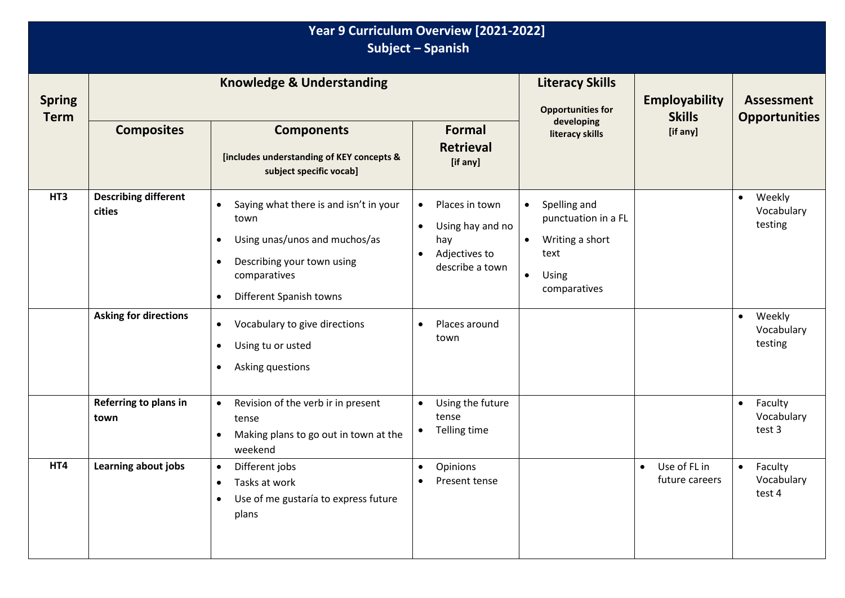| Year 9 Curriculum Overview [2021-2022]<br>Subject - Spanish |                                                                       |                                                                                                                                                                                         |                                                                                                                      |                                                                                                                                |                                       |                                                                     |  |  |
|-------------------------------------------------------------|-----------------------------------------------------------------------|-----------------------------------------------------------------------------------------------------------------------------------------------------------------------------------------|----------------------------------------------------------------------------------------------------------------------|--------------------------------------------------------------------------------------------------------------------------------|---------------------------------------|---------------------------------------------------------------------|--|--|
| <b>Spring</b><br><b>Term</b>                                | <b>Knowledge &amp; Understanding</b>                                  |                                                                                                                                                                                         |                                                                                                                      | <b>Literacy Skills</b><br><b>Opportunities for</b>                                                                             | <b>Employability</b><br><b>Skills</b> | <b>Assessment</b><br><b>Opportunities</b>                           |  |  |
|                                                             | <b>Composites</b>                                                     | <b>Components</b><br>[includes understanding of KEY concepts &<br>subject specific vocab]                                                                                               | Formal<br><b>Retrieval</b><br>[if any]                                                                               | developing<br>literacy skills                                                                                                  | [if any]                              |                                                                     |  |  |
| HT3                                                         | <b>Describing different</b><br>cities<br><b>Asking for directions</b> | Saying what there is and isn't in your<br>town<br>Using unas/unos and muchos/as<br>$\bullet$<br>Describing your town using<br>$\bullet$<br>comparatives<br>Different Spanish towns<br>٠ | Places in town<br>$\bullet$<br>Using hay and no<br>$\bullet$<br>hay<br>Adjectives to<br>$\bullet$<br>describe a town | Spelling and<br>$\bullet$<br>punctuation in a FL<br>Writing a short<br>$\bullet$<br>text<br>Using<br>$\bullet$<br>comparatives |                                       | Weekly<br>$\bullet$<br>Vocabulary<br>testing<br>Weekly<br>$\bullet$ |  |  |
|                                                             |                                                                       | Vocabulary to give directions<br>$\bullet$<br>Using tu or usted<br>$\bullet$<br>Asking questions<br>٠                                                                                   | Places around<br>$\bullet$<br>town                                                                                   |                                                                                                                                |                                       | Vocabulary<br>testing                                               |  |  |
|                                                             | Referring to plans in<br>town                                         | Revision of the verb ir in present<br>$\bullet$<br>tense<br>Making plans to go out in town at the<br>weekend                                                                            | Using the future<br>$\bullet$<br>tense<br>Telling time<br>$\bullet$                                                  |                                                                                                                                |                                       | Faculty<br>$\bullet$<br>Vocabulary<br>test 3                        |  |  |
| HT4                                                         | Learning about jobs                                                   | Different jobs<br>$\bullet$<br>Tasks at work<br>$\bullet$<br>Use of me gustaría to express future<br>$\bullet$<br>plans                                                                 | Opinions<br>$\bullet$<br>Present tense                                                                               |                                                                                                                                | • Use of FL in<br>future careers      | Faculty<br>$\bullet$<br>Vocabulary<br>test 4                        |  |  |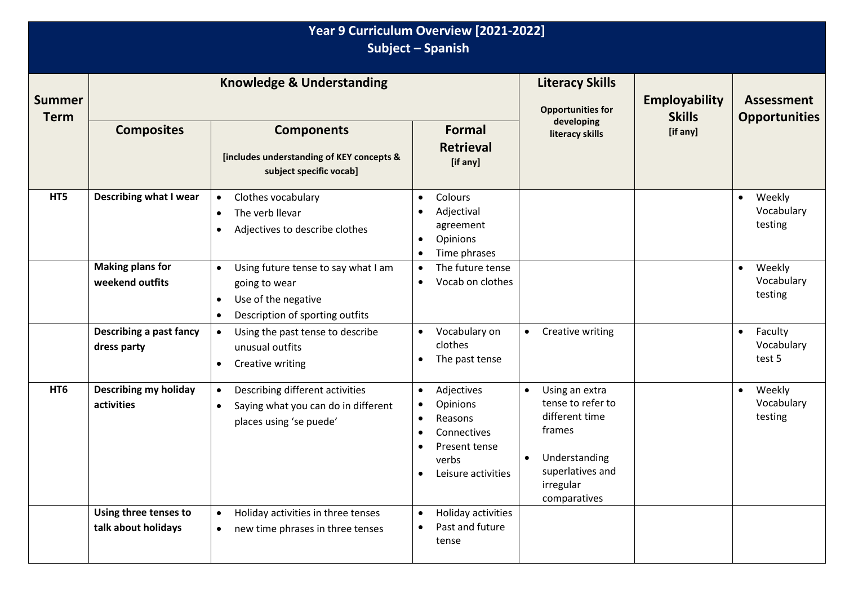| Year 9 Curriculum Overview [2021-2022]<br>Subject - Spanish |                                               |                                                                                                                                                       |                                                                                                                                                                                |                                                                                                                                                             |                                       |                                              |  |  |
|-------------------------------------------------------------|-----------------------------------------------|-------------------------------------------------------------------------------------------------------------------------------------------------------|--------------------------------------------------------------------------------------------------------------------------------------------------------------------------------|-------------------------------------------------------------------------------------------------------------------------------------------------------------|---------------------------------------|----------------------------------------------|--|--|
| <b>Summer</b><br><b>Term</b>                                | <b>Knowledge &amp; Understanding</b>          |                                                                                                                                                       |                                                                                                                                                                                | <b>Literacy Skills</b><br><b>Opportunities for</b>                                                                                                          | <b>Employability</b><br><b>Skills</b> | <b>Assessment</b><br><b>Opportunities</b>    |  |  |
|                                                             | <b>Composites</b>                             | <b>Components</b><br>[includes understanding of KEY concepts &<br>subject specific vocab]                                                             | <b>Formal</b><br><b>Retrieval</b><br>[if any]                                                                                                                                  | developing<br>literacy skills                                                                                                                               | [if any]                              |                                              |  |  |
| HT5                                                         | <b>Describing what I wear</b>                 | Clothes vocabulary<br>$\bullet$<br>The verb llevar<br>$\bullet$<br>Adjectives to describe clothes<br>$\bullet$                                        | Colours<br>$\bullet$<br>Adjectival<br>$\bullet$<br>agreement<br>Opinions<br>$\bullet$<br>Time phrases<br>$\bullet$                                                             |                                                                                                                                                             |                                       | Weekly<br>$\bullet$<br>Vocabulary<br>testing |  |  |
|                                                             | <b>Making plans for</b><br>weekend outfits    | Using future tense to say what I am<br>$\bullet$<br>going to wear<br>Use of the negative<br>$\bullet$<br>Description of sporting outfits<br>$\bullet$ | The future tense<br>$\bullet$<br>Vocab on clothes<br>$\bullet$                                                                                                                 |                                                                                                                                                             |                                       | Weekly<br>$\bullet$<br>Vocabulary<br>testing |  |  |
|                                                             | <b>Describing a past fancy</b><br>dress party | Using the past tense to describe<br>$\bullet$<br>unusual outfits<br>Creative writing<br>$\bullet$                                                     | Vocabulary on<br>$\bullet$<br>clothes<br>The past tense<br>$\bullet$                                                                                                           | Creative writing<br>$\bullet$                                                                                                                               |                                       | Faculty<br>$\bullet$<br>Vocabulary<br>test 5 |  |  |
| HT <sub>6</sub>                                             | <b>Describing my holiday</b><br>activities    | Describing different activities<br>$\bullet$<br>Saying what you can do in different<br>$\bullet$<br>places using 'se puede'                           | Adjectives<br>$\bullet$<br>Opinions<br>$\bullet$<br>Reasons<br>$\bullet$<br>Connectives<br>$\bullet$<br>Present tense<br>$\bullet$<br>verbs<br>Leisure activities<br>$\bullet$ | Using an extra<br>$\bullet$<br>tense to refer to<br>different time<br>frames<br>Understanding<br>$\bullet$<br>superlatives and<br>irregular<br>comparatives |                                       | Weekly<br>$\bullet$<br>Vocabulary<br>testing |  |  |
|                                                             | Using three tenses to<br>talk about holidays  | Holiday activities in three tenses<br>new time phrases in three tenses<br>$\bullet$                                                                   | Holiday activities<br>$\bullet$<br>Past and future<br>$\bullet$<br>tense                                                                                                       |                                                                                                                                                             |                                       |                                              |  |  |